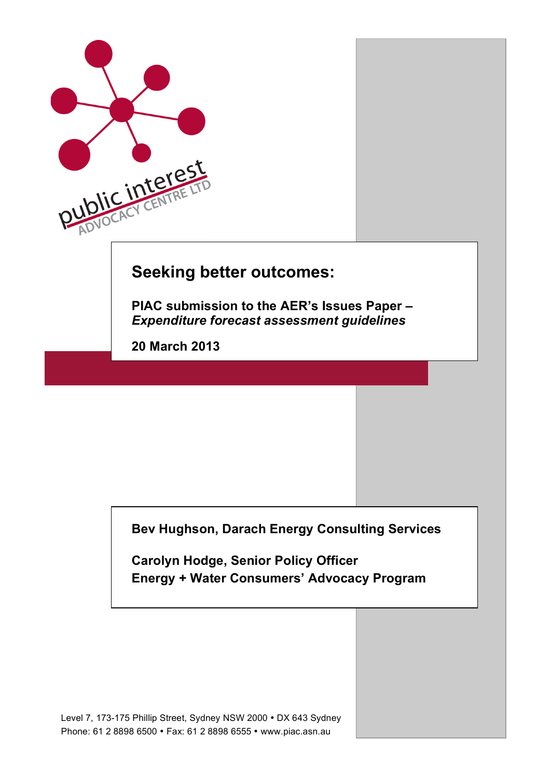

**Bev Hughson, Darach Energy Consulting Services**

**Carolyn Hodge, Senior Policy Officer Energy + Water Consumers' Advocacy Program**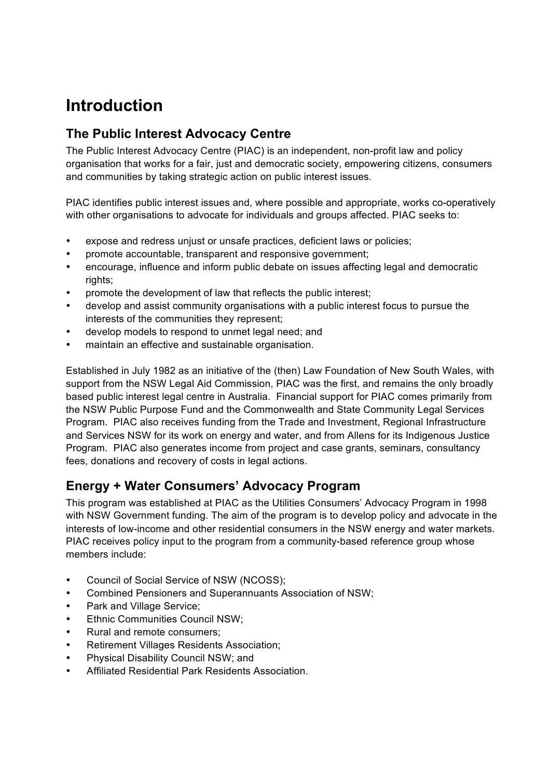# **Introduction**

## **The Public Interest Advocacy Centre**

The Public Interest Advocacy Centre (PIAC) is an independent, non-profit law and policy organisation that works for a fair, just and democratic society, empowering citizens, consumers and communities by taking strategic action on public interest issues.

PIAC identifies public interest issues and, where possible and appropriate, works co-operatively with other organisations to advocate for individuals and groups affected. PIAC seeks to:

- expose and redress uniust or unsafe practices, deficient laws or policies;
- promote accountable, transparent and responsive government;
- encourage, influence and inform public debate on issues affecting legal and democratic rights:
- promote the development of law that reflects the public interest;
- develop and assist community organisations with a public interest focus to pursue the interests of the communities they represent;
- develop models to respond to unmet legal need; and
- maintain an effective and sustainable organisation.

Established in July 1982 as an initiative of the (then) Law Foundation of New South Wales, with support from the NSW Legal Aid Commission, PIAC was the first, and remains the only broadly based public interest legal centre in Australia. Financial support for PIAC comes primarily from the NSW Public Purpose Fund and the Commonwealth and State Community Legal Services Program. PIAC also receives funding from the Trade and Investment, Regional Infrastructure and Services NSW for its work on energy and water, and from Allens for its Indigenous Justice Program. PIAC also generates income from project and case grants, seminars, consultancy fees, donations and recovery of costs in legal actions.

## **Energy + Water Consumers' Advocacy Program**

This program was established at PIAC as the Utilities Consumers' Advocacy Program in 1998 with NSW Government funding. The aim of the program is to develop policy and advocate in the interests of low-income and other residential consumers in the NSW energy and water markets. PIAC receives policy input to the program from a community-based reference group whose members include:

- Council of Social Service of NSW (NCOSS);
- Combined Pensioners and Superannuants Association of NSW;
- Park and Village Service;
- Ethnic Communities Council NSW;
- Rural and remote consumers;
- Retirement Villages Residents Association;
- Physical Disability Council NSW; and
- Affiliated Residential Park Residents Association.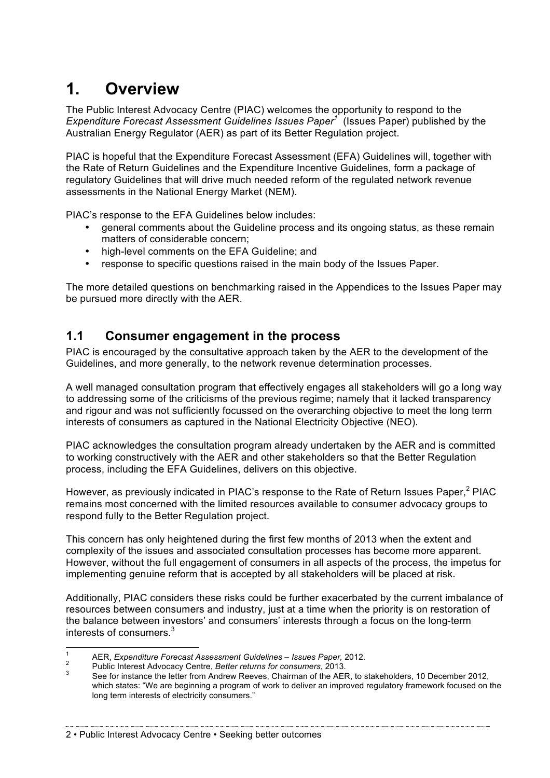# **1. Overview**

The Public Interest Advocacy Centre (PIAC) welcomes the opportunity to respond to the *Expenditure Forecast Assessment Guidelines Issues Paper<sup>1</sup>* (Issues Paper) published by the Australian Energy Regulator (AER) as part of its Better Regulation project.

PIAC is hopeful that the Expenditure Forecast Assessment (EFA) Guidelines will, together with the Rate of Return Guidelines and the Expenditure Incentive Guidelines, form a package of regulatory Guidelines that will drive much needed reform of the regulated network revenue assessments in the National Energy Market (NEM).

PIAC's response to the EFA Guidelines below includes:

- general comments about the Guideline process and its ongoing status, as these remain matters of considerable concern;
- high-level comments on the EFA Guideline; and
- response to specific questions raised in the main body of the Issues Paper.

The more detailed questions on benchmarking raised in the Appendices to the Issues Paper may be pursued more directly with the AER.

## **1.1 Consumer engagement in the process**

PIAC is encouraged by the consultative approach taken by the AER to the development of the Guidelines, and more generally, to the network revenue determination processes.

A well managed consultation program that effectively engages all stakeholders will go a long way to addressing some of the criticisms of the previous regime; namely that it lacked transparency and rigour and was not sufficiently focussed on the overarching objective to meet the long term interests of consumers as captured in the National Electricity Objective (NEO).

PIAC acknowledges the consultation program already undertaken by the AER and is committed to working constructively with the AER and other stakeholders so that the Better Regulation process, including the EFA Guidelines, delivers on this objective.

However, as previously indicated in PIAC's response to the Rate of Return Issues Paper.<sup>2</sup> PIAC remains most concerned with the limited resources available to consumer advocacy groups to respond fully to the Better Regulation project.

This concern has only heightened during the first few months of 2013 when the extent and complexity of the issues and associated consultation processes has become more apparent. However, without the full engagement of consumers in all aspects of the process, the impetus for implementing genuine reform that is accepted by all stakeholders will be placed at risk.

Additionally, PIAC considers these risks could be further exacerbated by the current imbalance of resources between consumers and industry, just at a time when the priority is on restoration of the balance between investors' and consumers' interests through a focus on the long-term interests of consumers.<sup>3</sup>

<sup>&</sup>lt;sup>1</sup> AER, *Expenditure Forecast Assessment Guidelines – Issues Paper,* 2012.<br><sup>2</sup> Public Interest Advocacy Centre, *Better returns for consumers*, 2013.<br><sup>3</sup> See for instance the letter from Andrew Reeves. Chairman of the AE which states: "We are beginning a program of work to deliver an improved regulatory framework focused on the long term interests of electricity consumers."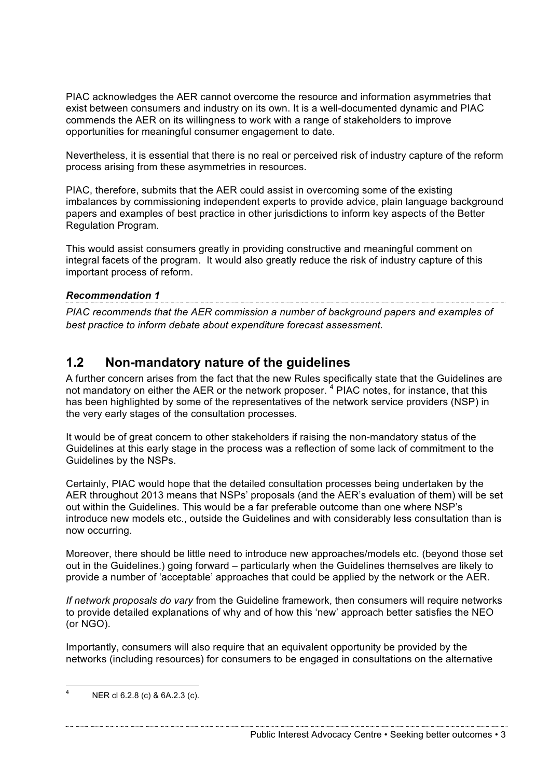PIAC acknowledges the AER cannot overcome the resource and information asymmetries that exist between consumers and industry on its own. It is a well-documented dynamic and PIAC commends the AER on its willingness to work with a range of stakeholders to improve opportunities for meaningful consumer engagement to date.

Nevertheless, it is essential that there is no real or perceived risk of industry capture of the reform process arising from these asymmetries in resources.

PIAC, therefore, submits that the AER could assist in overcoming some of the existing imbalances by commissioning independent experts to provide advice, plain language background papers and examples of best practice in other jurisdictions to inform key aspects of the Better Regulation Program.

This would assist consumers greatly in providing constructive and meaningful comment on integral facets of the program. It would also greatly reduce the risk of industry capture of this important process of reform.

## *Recommendation 1*

*PIAC recommends that the AER commission a number of background papers and examples of best practice to inform debate about expenditure forecast assessment.*

## **1.2 Non-mandatory nature of the guidelines**

A further concern arises from the fact that the new Rules specifically state that the Guidelines are not mandatory on either the AER or the network proposer.<sup>4</sup> PIAC notes, for instance, that this has been highlighted by some of the representatives of the network service providers (NSP) in the very early stages of the consultation processes.

It would be of great concern to other stakeholders if raising the non-mandatory status of the Guidelines at this early stage in the process was a reflection of some lack of commitment to the Guidelines by the NSPs.

Certainly, PIAC would hope that the detailed consultation processes being undertaken by the AER throughout 2013 means that NSPs' proposals (and the AER's evaluation of them) will be set out within the Guidelines. This would be a far preferable outcome than one where NSP's introduce new models etc., outside the Guidelines and with considerably less consultation than is now occurring.

Moreover, there should be little need to introduce new approaches/models etc. (beyond those set out in the Guidelines.) going forward – particularly when the Guidelines themselves are likely to provide a number of 'acceptable' approaches that could be applied by the network or the AER.

*If network proposals do vary* from the Guideline framework, then consumers will require networks to provide detailed explanations of why and of how this 'new' approach better satisfies the NEO (or NGO).

Importantly, consumers will also require that an equivalent opportunity be provided by the networks (including resources) for consumers to be engaged in consultations on the alternative

Public Interest Advocacy Centre • Seeking better outcomes • 3

 <sup>4</sup> NER cl 6.2.8 (c) & 6A.2.3 (c).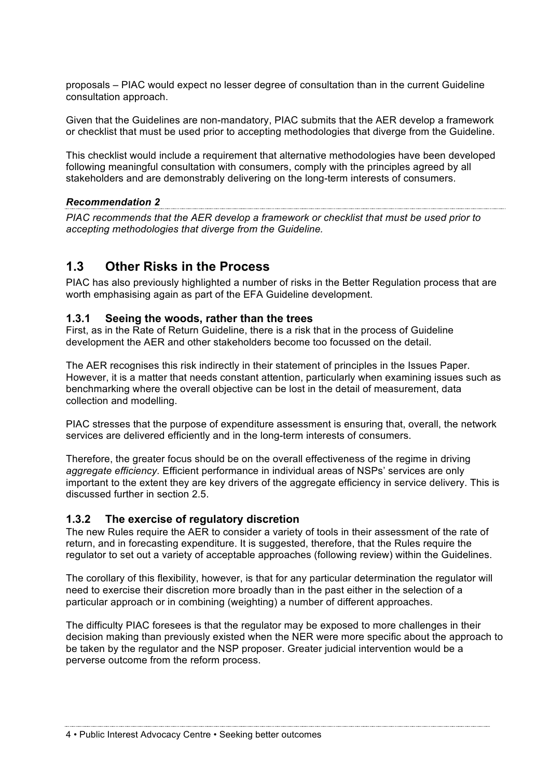proposals – PIAC would expect no lesser degree of consultation than in the current Guideline consultation approach.

Given that the Guidelines are non-mandatory, PIAC submits that the AER develop a framework or checklist that must be used prior to accepting methodologies that diverge from the Guideline.

This checklist would include a requirement that alternative methodologies have been developed following meaningful consultation with consumers, comply with the principles agreed by all stakeholders and are demonstrably delivering on the long-term interests of consumers.

*Recommendation 2 PIAC recommends that the AER develop a framework or checklist that must be used prior to accepting methodologies that diverge from the Guideline.*

#### **1.3 Other Risks in the Process**

PIAC has also previously highlighted a number of risks in the Better Regulation process that are worth emphasising again as part of the EFA Guideline development.

#### **1.3.1 Seeing the woods, rather than the trees**

First, as in the Rate of Return Guideline, there is a risk that in the process of Guideline development the AER and other stakeholders become too focussed on the detail.

The AER recognises this risk indirectly in their statement of principles in the Issues Paper. However, it is a matter that needs constant attention, particularly when examining issues such as benchmarking where the overall objective can be lost in the detail of measurement, data collection and modelling.

PIAC stresses that the purpose of expenditure assessment is ensuring that, overall, the network services are delivered efficiently and in the long-term interests of consumers.

Therefore, the greater focus should be on the overall effectiveness of the regime in driving *aggregate efficiency.* Efficient performance in individual areas of NSPs' services are only important to the extent they are key drivers of the aggregate efficiency in service delivery. This is discussed further in section 2.5.

#### **1.3.2 The exercise of regulatory discretion**

The new Rules require the AER to consider a variety of tools in their assessment of the rate of return, and in forecasting expenditure. It is suggested, therefore, that the Rules require the regulator to set out a variety of acceptable approaches (following review) within the Guidelines.

The corollary of this flexibility, however, is that for any particular determination the regulator will need to exercise their discretion more broadly than in the past either in the selection of a particular approach or in combining (weighting) a number of different approaches.

The difficulty PIAC foresees is that the regulator may be exposed to more challenges in their decision making than previously existed when the NER were more specific about the approach to be taken by the regulator and the NSP proposer. Greater judicial intervention would be a perverse outcome from the reform process.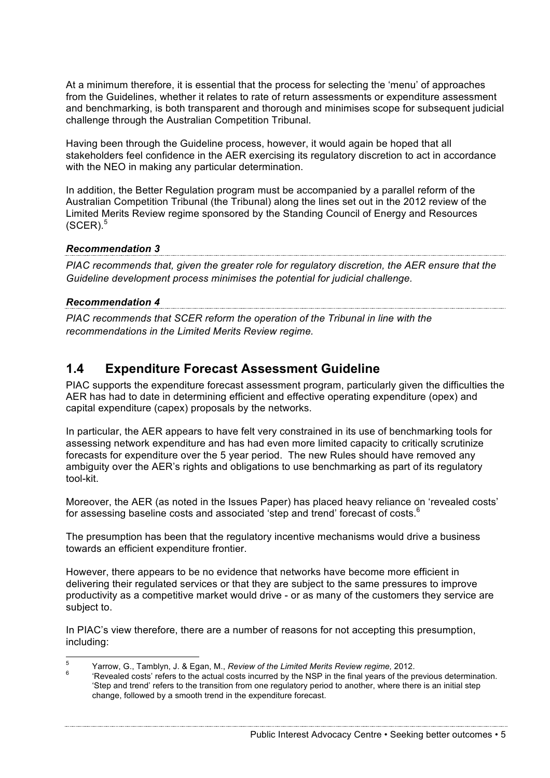At a minimum therefore, it is essential that the process for selecting the 'menu' of approaches from the Guidelines, whether it relates to rate of return assessments or expenditure assessment and benchmarking, is both transparent and thorough and minimises scope for subsequent judicial challenge through the Australian Competition Tribunal.

Having been through the Guideline process, however, it would again be hoped that all stakeholders feel confidence in the AER exercising its regulatory discretion to act in accordance with the NEO in making any particular determination.

In addition, the Better Regulation program must be accompanied by a parallel reform of the Australian Competition Tribunal (the Tribunal) along the lines set out in the 2012 review of the Limited Merits Review regime sponsored by the Standing Council of Energy and Resources  $(SCER).$ <sup>5</sup>

## *Recommendation 3*

*PIAC recommends that, given the greater role for regulatory discretion, the AER ensure that the Guideline development process minimises the potential for judicial challenge.*

#### *Recommendation 4*

*PIAC recommends that SCER reform the operation of the Tribunal in line with the recommendations in the Limited Merits Review regime.* 

## **1.4 Expenditure Forecast Assessment Guideline**

PIAC supports the expenditure forecast assessment program, particularly given the difficulties the AER has had to date in determining efficient and effective operating expenditure (opex) and capital expenditure (capex) proposals by the networks.

In particular, the AER appears to have felt very constrained in its use of benchmarking tools for assessing network expenditure and has had even more limited capacity to critically scrutinize forecasts for expenditure over the 5 year period. The new Rules should have removed any ambiguity over the AER's rights and obligations to use benchmarking as part of its regulatory tool-kit.

Moreover, the AER (as noted in the Issues Paper) has placed heavy reliance on 'revealed costs' for assessing baseline costs and associated 'step and trend' forecast of costs.<sup>6</sup>

The presumption has been that the regulatory incentive mechanisms would drive a business towards an efficient expenditure frontier.

However, there appears to be no evidence that networks have become more efficient in delivering their regulated services or that they are subject to the same pressures to improve productivity as a competitive market would drive - or as many of the customers they service are subject to.

In PIAC's view therefore, there are a number of reasons for not accepting this presumption, including:

<sup>&</sup>lt;sup>5</sup> Yarrow, G., Tamblyn, J. & Egan, M., *Review of the Limited Merits Review regime,* 2012.<br><sup>6</sup> 'Revealed costs' refers to the actual costs incurred by the NSP in the final years of the previous determination.

<sup>&#</sup>x27;Step and trend' refers to the transition from one regulatory period to another, where there is an initial step change, followed by a smooth trend in the expenditure forecast.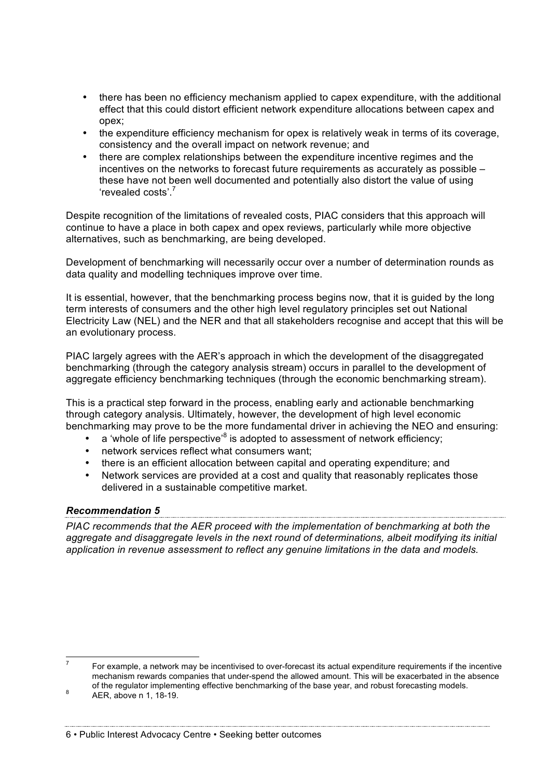- there has been no efficiency mechanism applied to capex expenditure, with the additional effect that this could distort efficient network expenditure allocations between capex and opex;
- the expenditure efficiency mechanism for opex is relatively weak in terms of its coverage, consistency and the overall impact on network revenue; and
- there are complex relationships between the expenditure incentive regimes and the incentives on the networks to forecast future requirements as accurately as possible – these have not been well documented and potentially also distort the value of using 'revealed costs'.<sup>7</sup>

Despite recognition of the limitations of revealed costs, PIAC considers that this approach will continue to have a place in both capex and opex reviews, particularly while more objective alternatives, such as benchmarking, are being developed.

Development of benchmarking will necessarily occur over a number of determination rounds as data quality and modelling techniques improve over time.

It is essential, however, that the benchmarking process begins now, that it is guided by the long term interests of consumers and the other high level regulatory principles set out National Electricity Law (NEL) and the NER and that all stakeholders recognise and accept that this will be an evolutionary process.

PIAC largely agrees with the AER's approach in which the development of the disaggregated benchmarking (through the category analysis stream) occurs in parallel to the development of aggregate efficiency benchmarking techniques (through the economic benchmarking stream).

This is a practical step forward in the process, enabling early and actionable benchmarking through category analysis. Ultimately, however, the development of high level economic benchmarking may prove to be the more fundamental driver in achieving the NEO and ensuring:

- a 'whole of life perspective'<sup>8</sup> is adopted to assessment of network efficiency;
- network services reflect what consumers want;
- there is an efficient allocation between capital and operating expenditure; and
- Network services are provided at a cost and quality that reasonably replicates those delivered in a sustainable competitive market.

#### *Recommendation 5*

*PIAC recommends that the AER proceed with the implementation of benchmarking at both the aggregate and disaggregate levels in the next round of determinations, albeit modifying its initial application in revenue assessment to reflect any genuine limitations in the data and models.*

 $7$  For example, a network may be incentivised to over-forecast its actual expenditure requirements if the incentive mechanism rewards companies that under-spend the allowed amount. This will be exacerbated in the absence of the regulator implementing effective benchmarking of the base year, and robust forecasting models.<br>AER, above n 1, 18-19.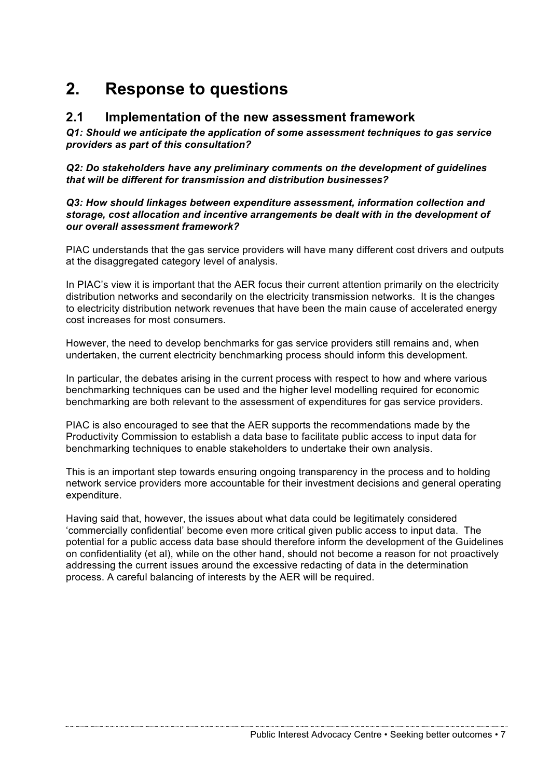# **2. Response to questions**

#### **2.1 Implementation of the new assessment framework**

*Q1: Should we anticipate the application of some assessment techniques to gas service providers as part of this consultation?*

*Q2: Do stakeholders have any preliminary comments on the development of guidelines that will be different for transmission and distribution businesses?*

*Q3: How should linkages between expenditure assessment, information collection and storage, cost allocation and incentive arrangements be dealt with in the development of our overall assessment framework?* 

PIAC understands that the gas service providers will have many different cost drivers and outputs at the disaggregated category level of analysis.

In PIAC's view it is important that the AER focus their current attention primarily on the electricity distribution networks and secondarily on the electricity transmission networks. It is the changes to electricity distribution network revenues that have been the main cause of accelerated energy cost increases for most consumers.

However, the need to develop benchmarks for gas service providers still remains and, when undertaken, the current electricity benchmarking process should inform this development.

In particular, the debates arising in the current process with respect to how and where various benchmarking techniques can be used and the higher level modelling required for economic benchmarking are both relevant to the assessment of expenditures for gas service providers.

PIAC is also encouraged to see that the AER supports the recommendations made by the Productivity Commission to establish a data base to facilitate public access to input data for benchmarking techniques to enable stakeholders to undertake their own analysis.

This is an important step towards ensuring ongoing transparency in the process and to holding network service providers more accountable for their investment decisions and general operating expenditure.

Having said that, however, the issues about what data could be legitimately considered 'commercially confidential' become even more critical given public access to input data. The potential for a public access data base should therefore inform the development of the Guidelines on confidentiality (et al), while on the other hand, should not become a reason for not proactively addressing the current issues around the excessive redacting of data in the determination process. A careful balancing of interests by the AER will be required.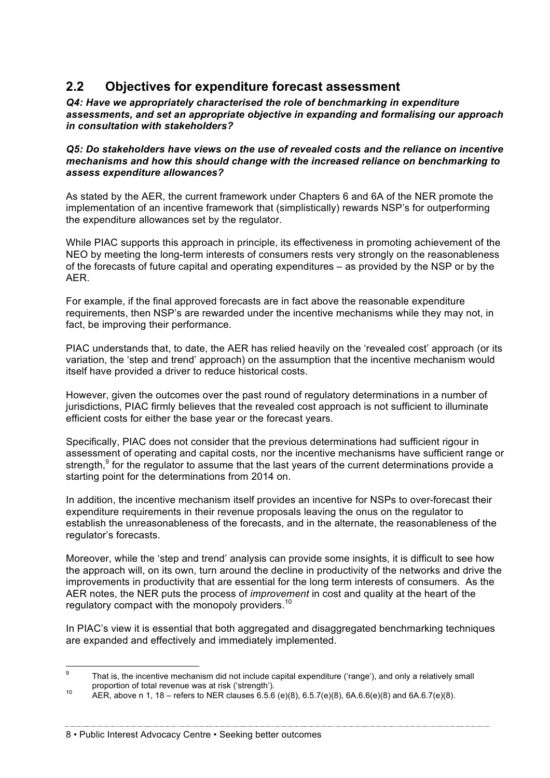## **2.2 Objectives for expenditure forecast assessment**

*Q4: Have we appropriately characterised the role of benchmarking in expenditure assessments, and set an appropriate objective in expanding and formalising our approach in consultation with stakeholders?*

#### *Q5: Do stakeholders have views on the use of revealed costs and the reliance on incentive mechanisms and how this should change with the increased reliance on benchmarking to assess expenditure allowances?*

As stated by the AER, the current framework under Chapters 6 and 6A of the NER promote the implementation of an incentive framework that (simplistically) rewards NSP's for outperforming the expenditure allowances set by the regulator.

While PIAC supports this approach in principle, its effectiveness in promoting achievement of the NEO by meeting the long-term interests of consumers rests very strongly on the reasonableness of the forecasts of future capital and operating expenditures – as provided by the NSP or by the AER.

For example, if the final approved forecasts are in fact above the reasonable expenditure requirements, then NSP's are rewarded under the incentive mechanisms while they may not, in fact, be improving their performance.

PIAC understands that, to date, the AER has relied heavily on the 'revealed cost' approach (or its variation, the 'step and trend' approach) on the assumption that the incentive mechanism would itself have provided a driver to reduce historical costs.

However, given the outcomes over the past round of regulatory determinations in a number of jurisdictions, PIAC firmly believes that the revealed cost approach is not sufficient to illuminate efficient costs for either the base year or the forecast years.

Specifically, PIAC does not consider that the previous determinations had sufficient rigour in assessment of operating and capital costs, nor the incentive mechanisms have sufficient range or strength,  $9$  for the regulator to assume that the last years of the current determinations provide a starting point for the determinations from 2014 on.

In addition, the incentive mechanism itself provides an incentive for NSPs to over-forecast their expenditure requirements in their revenue proposals leaving the onus on the regulator to establish the unreasonableness of the forecasts, and in the alternate, the reasonableness of the regulator's forecasts.

Moreover, while the 'step and trend' analysis can provide some insights, it is difficult to see how the approach will, on its own, turn around the decline in productivity of the networks and drive the improvements in productivity that are essential for the long term interests of consumers. As the AER notes, the NER puts the process of *improvement* in cost and quality at the heart of the regulatory compact with the monopoly providers.<sup>10</sup>

In PIAC's view it is essential that both aggregated and disaggregated benchmarking techniques are expanded and effectively and immediately implemented.

<sup>&</sup>lt;sup>9</sup> That is, the incentive mechanism did not include capital expenditure ('range'), and only a relatively small proportion of total revenue was at risk ('strength').

proportion of total revenue was at risk ('strength').<br>10 AER, above n 1, 18 – refers to NER clauses 6.5.6 (e)(8), 6.5.7(e)(8), 6A.6.6(e)(8) and 6A.6.7(e)(8).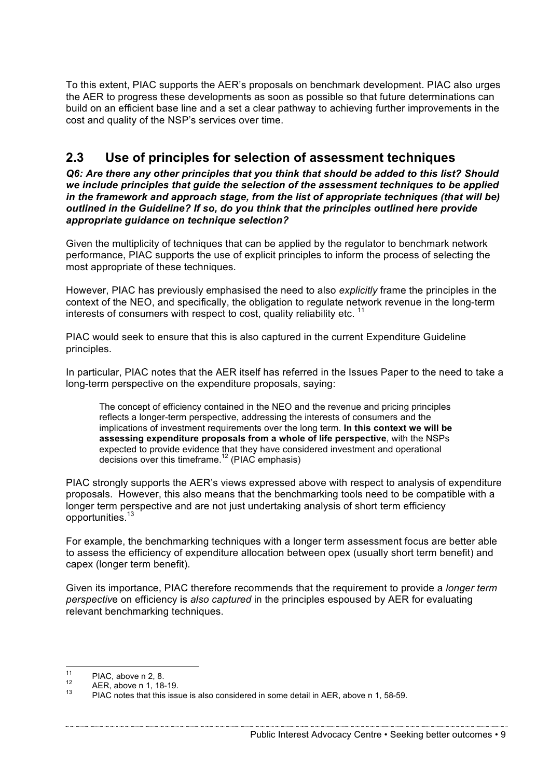To this extent, PIAC supports the AER's proposals on benchmark development. PIAC also urges the AER to progress these developments as soon as possible so that future determinations can build on an efficient base line and a set a clear pathway to achieving further improvements in the cost and quality of the NSP's services over time.

## **2.3 Use of principles for selection of assessment techniques**

*Q6: Are there any other principles that you think that should be added to this list? Should we include principles that guide the selection of the assessment techniques to be applied in the framework and approach stage, from the list of appropriate techniques (that will be) outlined in the Guideline? If so, do you think that the principles outlined here provide appropriate guidance on technique selection?*

Given the multiplicity of techniques that can be applied by the regulator to benchmark network performance, PIAC supports the use of explicit principles to inform the process of selecting the most appropriate of these techniques.

However, PIAC has previously emphasised the need to also *explicitly* frame the principles in the context of the NEO, and specifically, the obligation to regulate network revenue in the long-term interests of consumers with respect to cost, quality reliability etc.  $11$ 

PIAC would seek to ensure that this is also captured in the current Expenditure Guideline principles.

In particular, PIAC notes that the AER itself has referred in the Issues Paper to the need to take a long-term perspective on the expenditure proposals, saying:

The concept of efficiency contained in the NEO and the revenue and pricing principles reflects a longer-term perspective, addressing the interests of consumers and the implications of investment requirements over the long term. **In this context we will be assessing expenditure proposals from a whole of life perspective**, with the NSPs expected to provide evidence that they have considered investment and operational decisions over this timeframe.<sup>12</sup> (PIAC emphasis)

PIAC strongly supports the AER's views expressed above with respect to analysis of expenditure proposals. However, this also means that the benchmarking tools need to be compatible with a longer term perspective and are not just undertaking analysis of short term efficiency opportunities.<sup>13</sup>

For example, the benchmarking techniques with a longer term assessment focus are better able to assess the efficiency of expenditure allocation between opex (usually short term benefit) and capex (longer term benefit).

Given its importance, PIAC therefore recommends that the requirement to provide a *longer term perspectiv*e on efficiency is *also captured* in the principles espoused by AER for evaluating relevant benchmarking techniques.

PIAC, above n 2, 8.<br>
12 AER, above n 1, 18-19.<br>
13 PIAC notes that this issue is also considered in some detail in AER, above n 1, 58-59.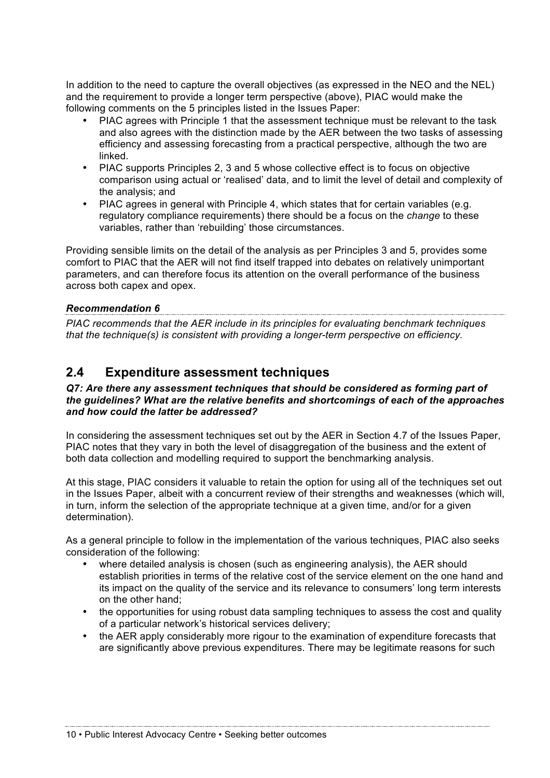In addition to the need to capture the overall objectives (as expressed in the NEO and the NEL) and the requirement to provide a longer term perspective (above), PIAC would make the following comments on the 5 principles listed in the Issues Paper:

- PIAC agrees with Principle 1 that the assessment technique must be relevant to the task and also agrees with the distinction made by the AER between the two tasks of assessing efficiency and assessing forecasting from a practical perspective, although the two are linked.
- PIAC supports Principles 2, 3 and 5 whose collective effect is to focus on objective comparison using actual or 'realised' data, and to limit the level of detail and complexity of the analysis; and
- PIAC agrees in general with Principle 4, which states that for certain variables (e.g. regulatory compliance requirements) there should be a focus on the *change* to these variables, rather than 'rebuilding' those circumstances.

Providing sensible limits on the detail of the analysis as per Principles 3 and 5, provides some comfort to PIAC that the AER will not find itself trapped into debates on relatively unimportant parameters, and can therefore focus its attention on the overall performance of the business across both capex and opex.

#### *Recommendation 6*

*PIAC recommends that the AER include in its principles for evaluating benchmark techniques that the technique(s) is consistent with providing a longer-term perspective on efficiency.*

## **2.4 Expenditure assessment techniques**

#### *Q7: Are there any assessment techniques that should be considered as forming part of the guidelines? What are the relative benefits and shortcomings of each of the approaches and how could the latter be addressed?*

In considering the assessment techniques set out by the AER in Section 4.7 of the Issues Paper. PIAC notes that they vary in both the level of disaggregation of the business and the extent of both data collection and modelling required to support the benchmarking analysis.

At this stage, PIAC considers it valuable to retain the option for using all of the techniques set out in the Issues Paper, albeit with a concurrent review of their strengths and weaknesses (which will, in turn, inform the selection of the appropriate technique at a given time, and/or for a given determination).

As a general principle to follow in the implementation of the various techniques, PIAC also seeks consideration of the following:

- where detailed analysis is chosen (such as engineering analysis), the AER should establish priorities in terms of the relative cost of the service element on the one hand and its impact on the quality of the service and its relevance to consumers' long term interests on the other hand;
- the opportunities for using robust data sampling techniques to assess the cost and quality of a particular network's historical services delivery;
- the AER apply considerably more rigour to the examination of expenditure forecasts that are significantly above previous expenditures. There may be legitimate reasons for such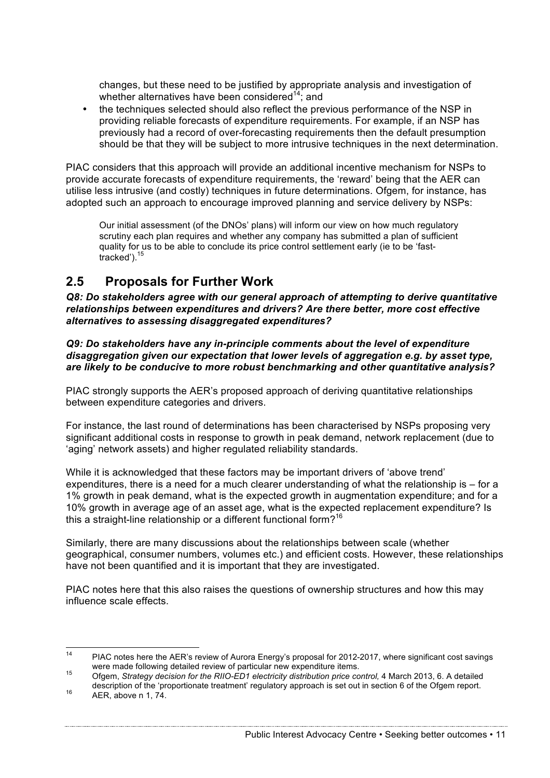changes, but these need to be justified by appropriate analysis and investigation of whether alternatives have been considered<sup>14</sup>; and

• the techniques selected should also reflect the previous performance of the NSP in providing reliable forecasts of expenditure requirements. For example, if an NSP has previously had a record of over-forecasting requirements then the default presumption should be that they will be subject to more intrusive techniques in the next determination.

PIAC considers that this approach will provide an additional incentive mechanism for NSPs to provide accurate forecasts of expenditure requirements, the 'reward' being that the AER can utilise less intrusive (and costly) techniques in future determinations. Ofgem, for instance, has adopted such an approach to encourage improved planning and service delivery by NSPs:

Our initial assessment (of the DNOs' plans) will inform our view on how much regulatory scrutiny each plan requires and whether any company has submitted a plan of sufficient quality for us to be able to conclude its price control settlement early (ie to be 'fasttracked'). 15

## **2.5 Proposals for Further Work**

*Q8: Do stakeholders agree with our general approach of attempting to derive quantitative relationships between expenditures and drivers? Are there better, more cost effective alternatives to assessing disaggregated expenditures?*

*Q9: Do stakeholders have any in-principle comments about the level of expenditure disaggregation given our expectation that lower levels of aggregation e.g. by asset type, are likely to be conducive to more robust benchmarking and other quantitative analysis?*

PIAC strongly supports the AER's proposed approach of deriving quantitative relationships between expenditure categories and drivers.

For instance, the last round of determinations has been characterised by NSPs proposing very significant additional costs in response to growth in peak demand, network replacement (due to 'aging' network assets) and higher regulated reliability standards.

While it is acknowledged that these factors may be important drivers of 'above trend' expenditures, there is a need for a much clearer understanding of what the relationship is – for a 1% growth in peak demand, what is the expected growth in augmentation expenditure; and for a 10% growth in average age of an asset age, what is the expected replacement expenditure? Is this a straight-line relationship or a different functional form?<sup>16</sup>

Similarly, there are many discussions about the relationships between scale (whether geographical, consumer numbers, volumes etc.) and efficient costs. However, these relationships have not been quantified and it is important that they are investigated.

PIAC notes here that this also raises the questions of ownership structures and how this may influence scale effects.

<sup>&</sup>lt;sup>14</sup> PIAC notes here the AER's review of Aurora Energy's proposal for 2012-2017, where significant cost savings were made following detailed review of particular new expenditure items.<br><sup>15</sup> Ofgem, *Strategy decision for the RIIO-ED1 electricity distribution price control, 4 March 2013, 6, A detailed* 

description of the 'proportionate treatment' regulatory approach is set out in section 6 of the Ofgem report.<br>AER, above n 1, 74.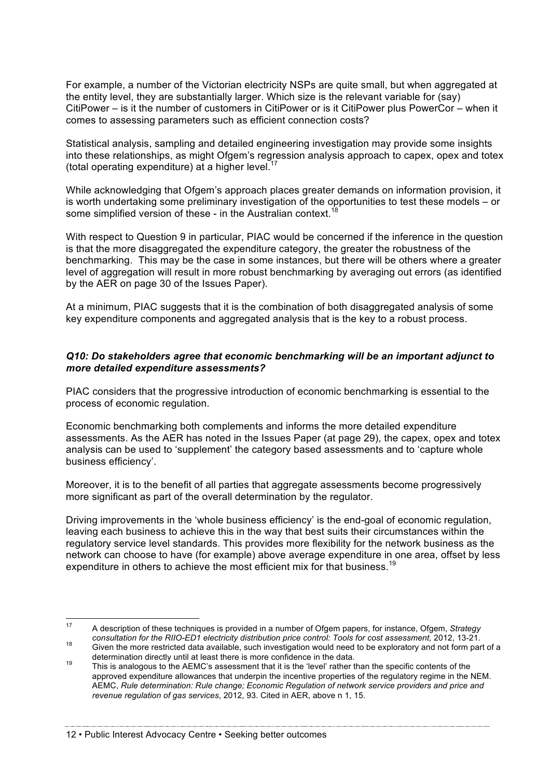For example, a number of the Victorian electricity NSPs are quite small, but when aggregated at the entity level, they are substantially larger. Which size is the relevant variable for (say) CitiPower – is it the number of customers in CitiPower or is it CitiPower plus PowerCor – when it comes to assessing parameters such as efficient connection costs?

Statistical analysis, sampling and detailed engineering investigation may provide some insights into these relationships, as might Ofgem's regression analysis approach to capex, opex and totex (total operating expenditure) at a higher level.<sup>17</sup>

While acknowledging that Ofgem's approach places greater demands on information provision, it is worth undertaking some preliminary investigation of the opportunities to test these models – or some simplified version of these - in the Australian context.<sup>18</sup>

With respect to Question 9 in particular, PIAC would be concerned if the inference in the question is that the more disaggregated the expenditure category, the greater the robustness of the benchmarking. This may be the case in some instances, but there will be others where a greater level of aggregation will result in more robust benchmarking by averaging out errors (as identified by the AER on page 30 of the Issues Paper).

At a minimum, PIAC suggests that it is the combination of both disaggregated analysis of some key expenditure components and aggregated analysis that is the key to a robust process.

#### *Q10: Do stakeholders agree that economic benchmarking will be an important adjunct to more detailed expenditure assessments?*

PIAC considers that the progressive introduction of economic benchmarking is essential to the process of economic regulation.

Economic benchmarking both complements and informs the more detailed expenditure assessments. As the AER has noted in the Issues Paper (at page 29), the capex, opex and totex analysis can be used to 'supplement' the category based assessments and to 'capture whole business efficiency'.

Moreover, it is to the benefit of all parties that aggregate assessments become progressively more significant as part of the overall determination by the regulator.

Driving improvements in the 'whole business efficiency' is the end-goal of economic regulation, leaving each business to achieve this in the way that best suits their circumstances within the regulatory service level standards. This provides more flexibility for the network business as the network can choose to have (for example) above average expenditure in one area, offset by less expenditure in others to achieve the most efficient mix for that business.<sup>19</sup>

 <sup>17</sup> A description of these techniques is provided in a number of Ofgem papers, for instance, Ofgem, *Strategy* 

consultation for the RIIO-ED1 electricity distribution price control: Tools for cost assessment, 2012, 13-21.<br>Given the more restricted data available, such investigation would need to be exploratory and not form part of a

determination directly until at least there is more confidence in the data.<br><sup>19</sup> This is analogous to the AEMC's assessment that it is the 'level' rather than the specific contents of the approved expenditure allowances that underpin the incentive properties of the regulatory regime in the NEM. AEMC, *Rule determination: Rule change; Economic Regulation of network service providers and price and revenue regulation of gas services*, 2012, 93. Cited in AER, above n 1, 15.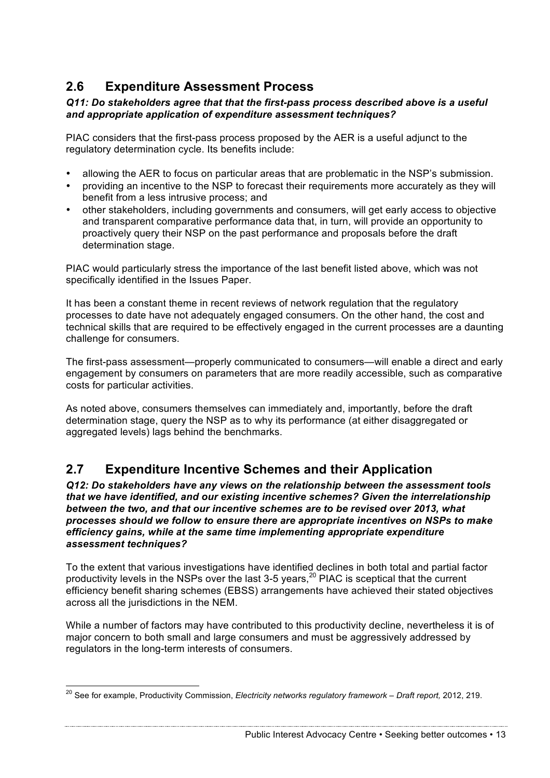## **2.6 Expenditure Assessment Process**

#### *Q11: Do stakeholders agree that that the first-pass process described above is a useful and appropriate application of expenditure assessment techniques?*

PIAC considers that the first-pass process proposed by the AER is a useful adjunct to the regulatory determination cycle. Its benefits include:

- allowing the AER to focus on particular areas that are problematic in the NSP's submission.
- providing an incentive to the NSP to forecast their requirements more accurately as they will benefit from a less intrusive process; and
- other stakeholders, including governments and consumers, will get early access to objective and transparent comparative performance data that, in turn, will provide an opportunity to proactively query their NSP on the past performance and proposals before the draft determination stage.

PIAC would particularly stress the importance of the last benefit listed above, which was not specifically identified in the Issues Paper.

It has been a constant theme in recent reviews of network regulation that the regulatory processes to date have not adequately engaged consumers. On the other hand, the cost and technical skills that are required to be effectively engaged in the current processes are a daunting challenge for consumers.

The first-pass assessment—properly communicated to consumers—will enable a direct and early engagement by consumers on parameters that are more readily accessible, such as comparative costs for particular activities.

As noted above, consumers themselves can immediately and, importantly, before the draft determination stage, query the NSP as to why its performance (at either disaggregated or aggregated levels) lags behind the benchmarks.

## **2.7 Expenditure Incentive Schemes and their Application**

*Q12: Do stakeholders have any views on the relationship between the assessment tools that we have identified, and our existing incentive schemes? Given the interrelationship between the two, and that our incentive schemes are to be revised over 2013, what processes should we follow to ensure there are appropriate incentives on NSPs to make efficiency gains, while at the same time implementing appropriate expenditure assessment techniques?*

To the extent that various investigations have identified declines in both total and partial factor productivity levels in the NSPs over the last 3-5 years,<sup>20</sup> PIAC is sceptical that the current efficiency benefit sharing schemes (EBSS) arrangements have achieved their stated objectives across all the jurisdictions in the NEM.

While a number of factors may have contributed to this productivity decline, nevertheless it is of major concern to both small and large consumers and must be aggressively addressed by regulators in the long-term interests of consumers.

Public Interest Advocacy Centre • Seeking better outcomes • 13

 <sup>20</sup> See for example, Productivity Commission, *Electricity networks regulatory framework – Draft report,* 2012, 219.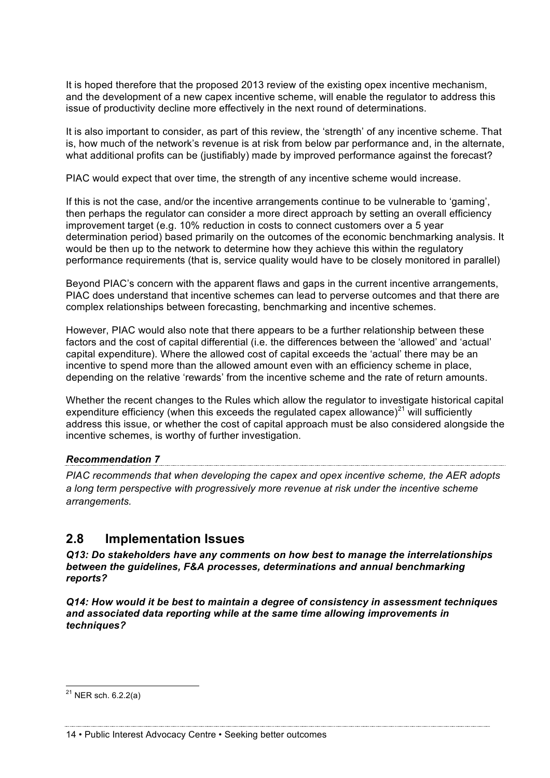It is hoped therefore that the proposed 2013 review of the existing opex incentive mechanism, and the development of a new capex incentive scheme, will enable the regulator to address this issue of productivity decline more effectively in the next round of determinations.

It is also important to consider, as part of this review, the 'strength' of any incentive scheme. That is, how much of the network's revenue is at risk from below par performance and, in the alternate, what additional profits can be (justifiably) made by improved performance against the forecast?

PIAC would expect that over time, the strength of any incentive scheme would increase.

If this is not the case, and/or the incentive arrangements continue to be vulnerable to 'gaming', then perhaps the regulator can consider a more direct approach by setting an overall efficiency improvement target (e.g. 10% reduction in costs to connect customers over a 5 year determination period) based primarily on the outcomes of the economic benchmarking analysis. It would be then up to the network to determine how they achieve this within the regulatory performance requirements (that is, service quality would have to be closely monitored in parallel)

Beyond PIAC's concern with the apparent flaws and gaps in the current incentive arrangements, PIAC does understand that incentive schemes can lead to perverse outcomes and that there are complex relationships between forecasting, benchmarking and incentive schemes.

However, PIAC would also note that there appears to be a further relationship between these factors and the cost of capital differential (i.e. the differences between the 'allowed' and 'actual' capital expenditure). Where the allowed cost of capital exceeds the 'actual' there may be an incentive to spend more than the allowed amount even with an efficiency scheme in place, depending on the relative 'rewards' from the incentive scheme and the rate of return amounts.

Whether the recent changes to the Rules which allow the regulator to investigate historical capital expenditure efficiency (when this exceeds the regulated capex allowance)<sup>21</sup> will sufficiently address this issue, or whether the cost of capital approach must be also considered alongside the incentive schemes, is worthy of further investigation.

#### *Recommendation 7*

*PIAC recommends that when developing the capex and opex incentive scheme, the AER adopts a long term perspective with progressively more revenue at risk under the incentive scheme arrangements.*

#### **2.8 Implementation Issues**

*Q13: Do stakeholders have any comments on how best to manage the interrelationships between the guidelines, F&A processes, determinations and annual benchmarking reports?*

*Q14: How would it be best to maintain a degree of consistency in assessment techniques and associated data reporting while at the same time allowing improvements in techniques?*

 $^{21}$  NER sch. 6.2.2(a)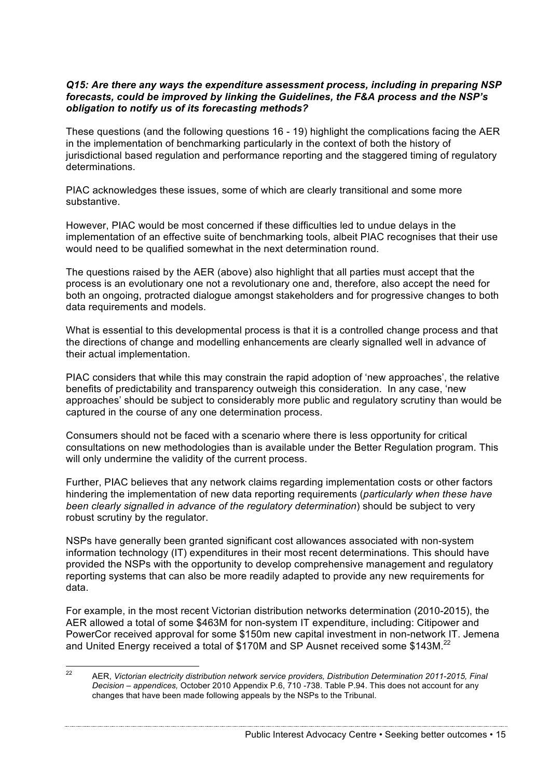#### *Q15: Are there any ways the expenditure assessment process, including in preparing NSP forecasts, could be improved by linking the Guidelines, the F&A process and the NSP's obligation to notify us of its forecasting methods?*

These questions (and the following questions 16 - 19) highlight the complications facing the AER in the implementation of benchmarking particularly in the context of both the history of jurisdictional based regulation and performance reporting and the staggered timing of regulatory determinations.

PIAC acknowledges these issues, some of which are clearly transitional and some more substantive.

However, PIAC would be most concerned if these difficulties led to undue delays in the implementation of an effective suite of benchmarking tools, albeit PIAC recognises that their use would need to be qualified somewhat in the next determination round.

The questions raised by the AER (above) also highlight that all parties must accept that the process is an evolutionary one not a revolutionary one and, therefore, also accept the need for both an ongoing, protracted dialogue amongst stakeholders and for progressive changes to both data requirements and models.

What is essential to this developmental process is that it is a controlled change process and that the directions of change and modelling enhancements are clearly signalled well in advance of their actual implementation.

PIAC considers that while this may constrain the rapid adoption of 'new approaches', the relative benefits of predictability and transparency outweigh this consideration. In any case, 'new approaches' should be subject to considerably more public and regulatory scrutiny than would be captured in the course of any one determination process.

Consumers should not be faced with a scenario where there is less opportunity for critical consultations on new methodologies than is available under the Better Regulation program. This will only undermine the validity of the current process.

Further, PIAC believes that any network claims regarding implementation costs or other factors hindering the implementation of new data reporting requirements (*particularly when these have been clearly signalled in advance of the regulatory determination*) should be subject to very robust scrutiny by the regulator.

NSPs have generally been granted significant cost allowances associated with non-system information technology (IT) expenditures in their most recent determinations. This should have provided the NSPs with the opportunity to develop comprehensive management and regulatory reporting systems that can also be more readily adapted to provide any new requirements for data.

For example, in the most recent Victorian distribution networks determination (2010-2015), the AER allowed a total of some \$463M for non-system IT expenditure, including: Citipower and PowerCor received approval for some \$150m new capital investment in non-network IT. Jemena and United Energy received a total of \$170M and SP Ausnet received some \$143M.<sup>22</sup>

 <sup>22</sup> AER, *Victorian electricity distribution network service providers, Distribution Determination 2011-2015, Final Decision – appendices,* October 2010 Appendix P.6, 710 -738. Table P.94. This does not account for any changes that have been made following appeals by the NSPs to the Tribunal.